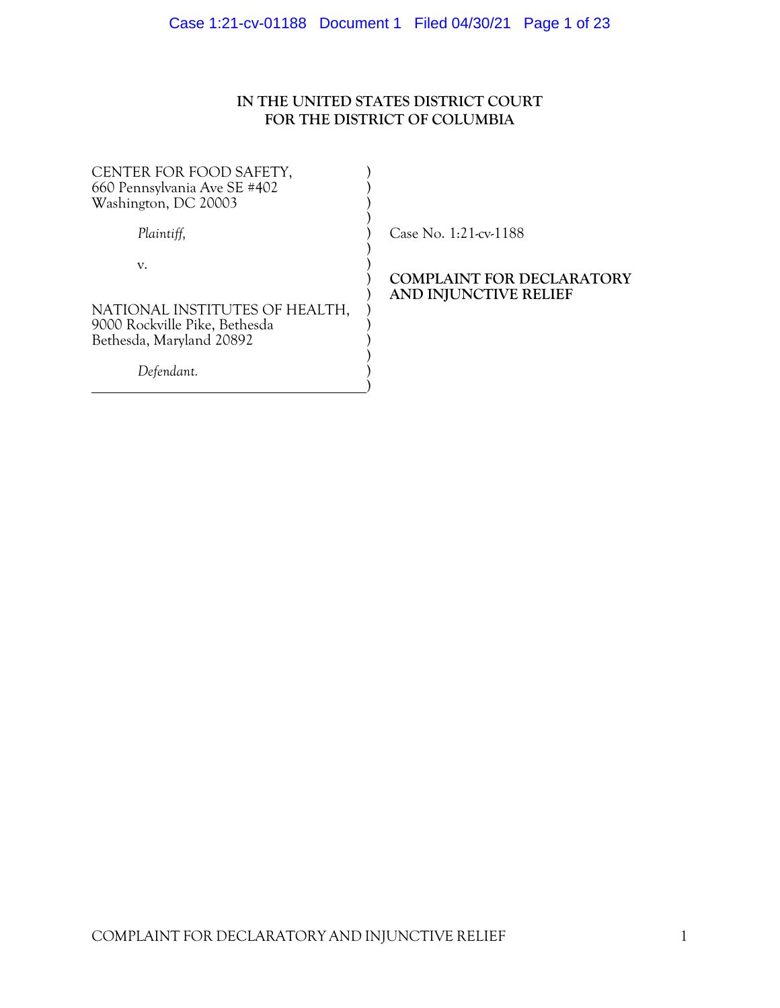# **IN THE UNITED STATES DISTRICT COURT FOR THE DISTRICT OF COLUMBIA**

| CENTER FOR FOOD SAFETY,<br>660 Pennsylvania Ave SE #402<br>Washington, DC 20003 |                                                           |
|---------------------------------------------------------------------------------|-----------------------------------------------------------|
| Plaintiff,                                                                      | Case No. $1:21$ -cv- $1188$                               |
| V.<br>NATIONAL INSTITUTES OF HEALTH,<br>9000 Rockville Pike, Bethesda           | <b>COMPLAINT FOR DECLARATORY</b><br>AND INJUNCTIVE RELIEF |
| Bethesda, Maryland 20892                                                        |                                                           |
| Defendant.                                                                      |                                                           |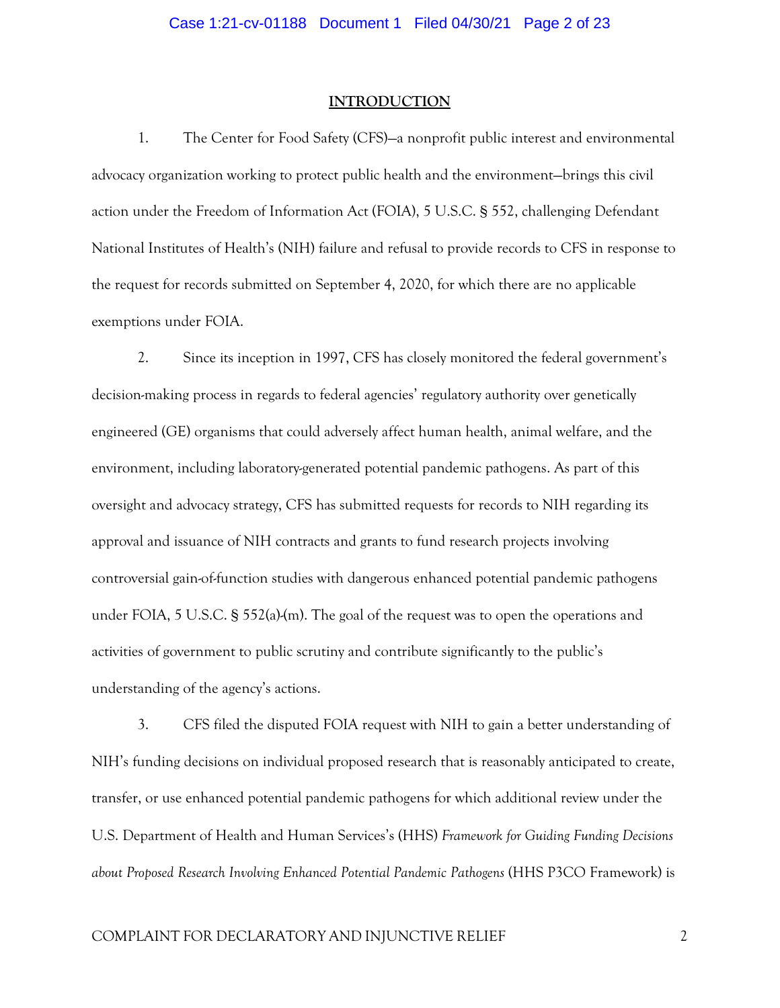#### **INTRODUCTION**

1. The Center for Food Safety (CFS)—a nonprofit public interest and environmental advocacy organization working to protect public health and the environment—brings this civil action under the Freedom of Information Act (FOIA), 5 U.S.C. § 552, challenging Defendant National Institutes of Health's (NIH) failure and refusal to provide records to CFS in response to the request for records submitted on September 4, 2020, for which there are no applicable exemptions under FOIA.

2. Since its inception in 1997, CFS has closely monitored the federal government's decision-making process in regards to federal agencies' regulatory authority over genetically engineered (GE) organisms that could adversely affect human health, animal welfare, and the environment, including laboratory-generated potential pandemic pathogens. As part of this oversight and advocacy strategy, CFS has submitted requests for records to NIH regarding its approval and issuance of NIH contracts and grants to fund research projects involving controversial gain-of-function studies with dangerous enhanced potential pandemic pathogens under FOIA, 5 U.S.C.  $\S$  552(a)-(m). The goal of the request was to open the operations and activities of government to public scrutiny and contribute significantly to the public's understanding of the agency's actions.

3. CFS filed the disputed FOIA request with NIH to gain a better understanding of NIH's funding decisions on individual proposed research that is reasonably anticipated to create, transfer, or use enhanced potential pandemic pathogens for which additional review under the U.S. Department of Health and Human Services's (HHS) *Framework for Guiding Funding Decisions about Proposed Research Involving Enhanced Potential Pandemic Pathogens* (HHS P3CO Framework) is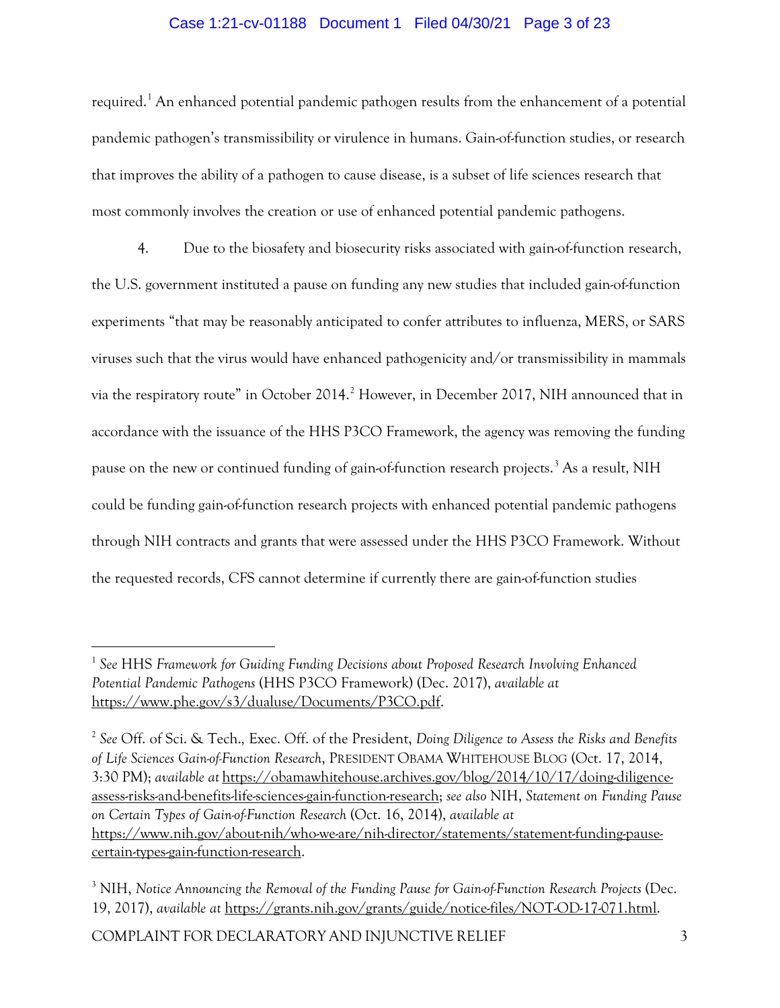# Case 1:21-cv-01188 Document 1 Filed 04/30/21 Page 3 of 23

required.<sup>[1](#page-2-0)</sup> An enhanced potential pandemic pathogen results from the enhancement of a potential pandemic pathogen's transmissibility or virulence in humans. Gain-of-function studies, or research that improves the ability of a pathogen to cause disease, is a subset of life sciences research that most commonly involves the creation or use of enhanced potential pandemic pathogens.

4. Due to the biosafety and biosecurity risks associated with gain-of-function research, the U.S. government instituted a pause on funding any new studies that included gain-of-function experiments "that may be reasonably anticipated to confer attributes to influenza, MERS, or SARS viruses such that the virus would have enhanced pathogenicity and/or transmissibility in mammals via the respiratory route" in October [2](#page-2-1)014.<sup>2</sup> However, in December 2017, NIH announced that in accordance with the issuance of the HHS P3CO Framework, the agency was removing the funding pause on the new or continued funding of gain-of-function research projects.<sup>[3](#page-2-2)</sup> As a result, NIH could be funding gain-of-function research projects with enhanced potential pandemic pathogens through NIH contracts and grants that were assessed under the HHS P3CO Framework. Without the requested records, CFS cannot determine if currently there are gain-of-function studies

<span id="page-2-0"></span><sup>1</sup> *See* HHS *Framework for Guiding Funding Decisions about Proposed Research Involving Enhanced Potential Pandemic Pathogens* (HHS P3CO Framework) (Dec. 2017), *available at*  [https://www.phe.gov/s3/dualuse/Documents/P3CO.pdf.](https://www.phe.gov/s3/dualuse/Documents/P3CO.pdf)

<span id="page-2-1"></span><sup>2</sup> *See* Off. of Sci. & Tech.*,* Exec. Off. of the President, *Doing Diligence to Assess the Risks and Benefits of Life Sciences Gain-of-Function Research*, PRESIDENT OBAMA WHITEHOUSE BLOG (Oct. 17, 2014, 3:30 PM); *available at* [https://obamawhitehouse.archives.gov/blog/2014/10/17/doing-diligence](https://obamawhitehouse.archives.gov/blog/2014/10/17/doing-diligence-assess-risks-and-benefits-life-sciences-gain-function-research)[assess-risks-and-benefits-life-sciences-gain-function-research;](https://obamawhitehouse.archives.gov/blog/2014/10/17/doing-diligence-assess-risks-and-benefits-life-sciences-gain-function-research) *see also* NIH, *Statement on Funding Pause on Certain Types of Gain-of-Function Research* (Oct. 16, 2014), *available at* [https://www.nih.gov/about-nih/who-we-are/nih-director/statements/statement-funding-pause](https://www.nih.gov/about-nih/who-we-are/nih-director/statements/statement-funding-pause-certain-types-gain-function-research)[certain-types-gain-function-research.](https://www.nih.gov/about-nih/who-we-are/nih-director/statements/statement-funding-pause-certain-types-gain-function-research)

<span id="page-2-2"></span><sup>3</sup> NIH, *Notice Announcing the Removal of the Funding Pause for Gain-of-Function Research Projects* (Dec. 19, 2017), *available at* [https://grants.nih.gov/grants/guide/notice-files/NOT-OD-17-071.html.](https://grants.nih.gov/grants/guide/notice-files/NOT-OD-17-071.html)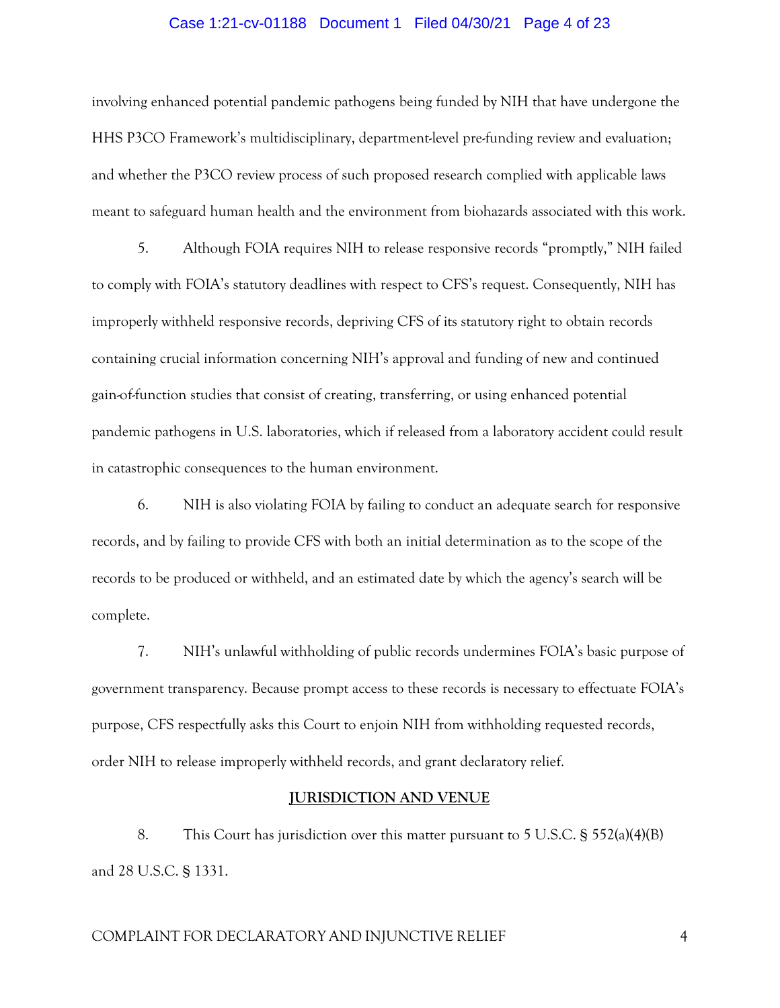#### Case 1:21-cv-01188 Document 1 Filed 04/30/21 Page 4 of 23

involving enhanced potential pandemic pathogens being funded by NIH that have undergone the HHS P3CO Framework's multidisciplinary, department-level pre-funding review and evaluation; and whether the P3CO review process of such proposed research complied with applicable laws meant to safeguard human health and the environment from biohazards associated with this work.

5. Although FOIA requires NIH to release responsive records "promptly," NIH failed to comply with FOIA's statutory deadlines with respect to CFS's request. Consequently, NIH has improperly withheld responsive records, depriving CFS of its statutory right to obtain records containing crucial information concerning NIH's approval and funding of new and continued gain-of-function studies that consist of creating, transferring, or using enhanced potential pandemic pathogens in U.S. laboratories, which if released from a laboratory accident could result in catastrophic consequences to the human environment.

6. NIH is also violating FOIA by failing to conduct an adequate search for responsive records, and by failing to provide CFS with both an initial determination as to the scope of the records to be produced or withheld, and an estimated date by which the agency's search will be complete.

7. NIH's unlawful withholding of public records undermines FOIA's basic purpose of government transparency. Because prompt access to these records is necessary to effectuate FOIA's purpose, CFS respectfully asks this Court to enjoin NIH from withholding requested records, order NIH to release improperly withheld records, and grant declaratory relief.

#### **JURISDICTION AND VENUE**

8. This Court has jurisdiction over this matter pursuant to 5 U.S.C. § 552(a)(4)(B) and 28 U.S.C. § 1331.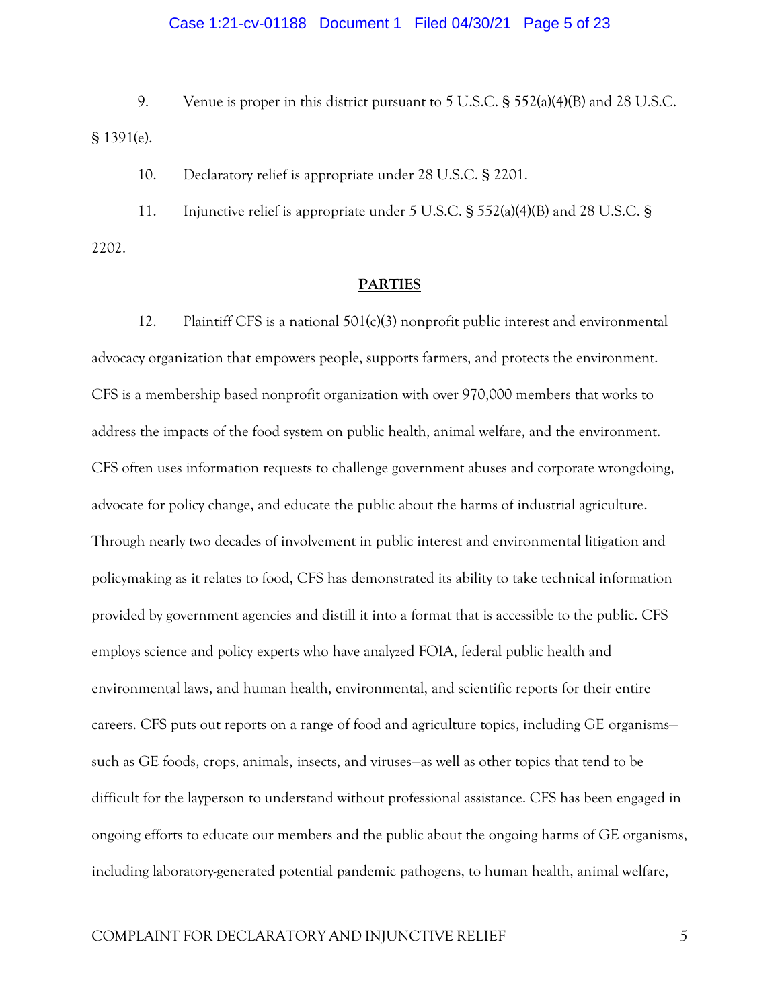# Case 1:21-cv-01188 Document 1 Filed 04/30/21 Page 5 of 23

9. Venue is proper in this district pursuant to 5 U.S.C. § 552(a)(4)(B) and 28 U.S.C. § 1391(e).

10. Declaratory relief is appropriate under 28 U.S.C. § 2201.

11. Injunctive relief is appropriate under 5 U.S.C. § 552(a)(4)(B) and 28 U.S.C. § 2202.

#### **PARTIES**

12. Plaintiff CFS is a national 501(c)(3) nonprofit public interest and environmental advocacy organization that empowers people, supports farmers, and protects the environment. CFS is a membership based nonprofit organization with over 970,000 members that works to address the impacts of the food system on public health, animal welfare, and the environment. CFS often uses information requests to challenge government abuses and corporate wrongdoing, advocate for policy change, and educate the public about the harms of industrial agriculture. Through nearly two decades of involvement in public interest and environmental litigation and policymaking as it relates to food, CFS has demonstrated its ability to take technical information provided by government agencies and distill it into a format that is accessible to the public. CFS employs science and policy experts who have analyzed FOIA, federal public health and environmental laws, and human health, environmental, and scientific reports for their entire careers. CFS puts out reports on a range of food and agriculture topics, including GE organisms such as GE foods, crops, animals, insects, and viruses—as well as other topics that tend to be difficult for the layperson to understand without professional assistance. CFS has been engaged in ongoing efforts to educate our members and the public about the ongoing harms of GE organisms, including laboratory-generated potential pandemic pathogens, to human health, animal welfare,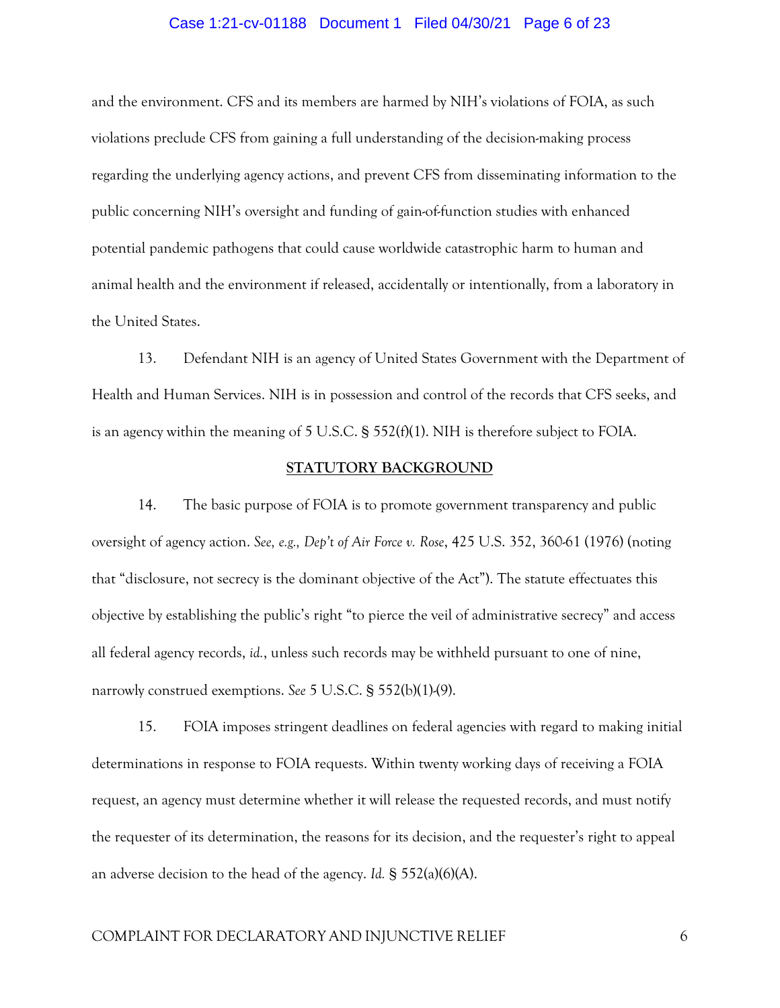#### Case 1:21-cv-01188 Document 1 Filed 04/30/21 Page 6 of 23

and the environment. CFS and its members are harmed by NIH's violations of FOIA, as such violations preclude CFS from gaining a full understanding of the decision-making process regarding the underlying agency actions, and prevent CFS from disseminating information to the public concerning NIH's oversight and funding of gain-of-function studies with enhanced potential pandemic pathogens that could cause worldwide catastrophic harm to human and animal health and the environment if released, accidentally or intentionally, from a laboratory in the United States.

13. Defendant NIH is an agency of United States Government with the Department of Health and Human Services. NIH is in possession and control of the records that CFS seeks, and is an agency within the meaning of  $5 \text{ U.S.C.}$  §  $552(f)(1)$ . NIH is therefore subject to FOIA.

#### **STATUTORY BACKGROUND**

14. The basic purpose of FOIA is to promote government transparency and public oversight of agency action. *See, e.g., Dep't of Air Force v. Rose*, 425 U.S. 352, 360-61 (1976) (noting that "disclosure, not secrecy is the dominant objective of the Act"). The statute effectuates this objective by establishing the public's right "to pierce the veil of administrative secrecy" and access all federal agency records, *id.*, unless such records may be withheld pursuant to one of nine, narrowly construed exemptions. *See* 5 U.S.C. § 552(b)(1)-(9).

15. FOIA imposes stringent deadlines on federal agencies with regard to making initial determinations in response to FOIA requests. Within twenty working days of receiving a FOIA request, an agency must determine whether it will release the requested records, and must notify the requester of its determination, the reasons for its decision, and the requester's right to appeal an adverse decision to the head of the agency. *Id.* § 552(a)(6)(A).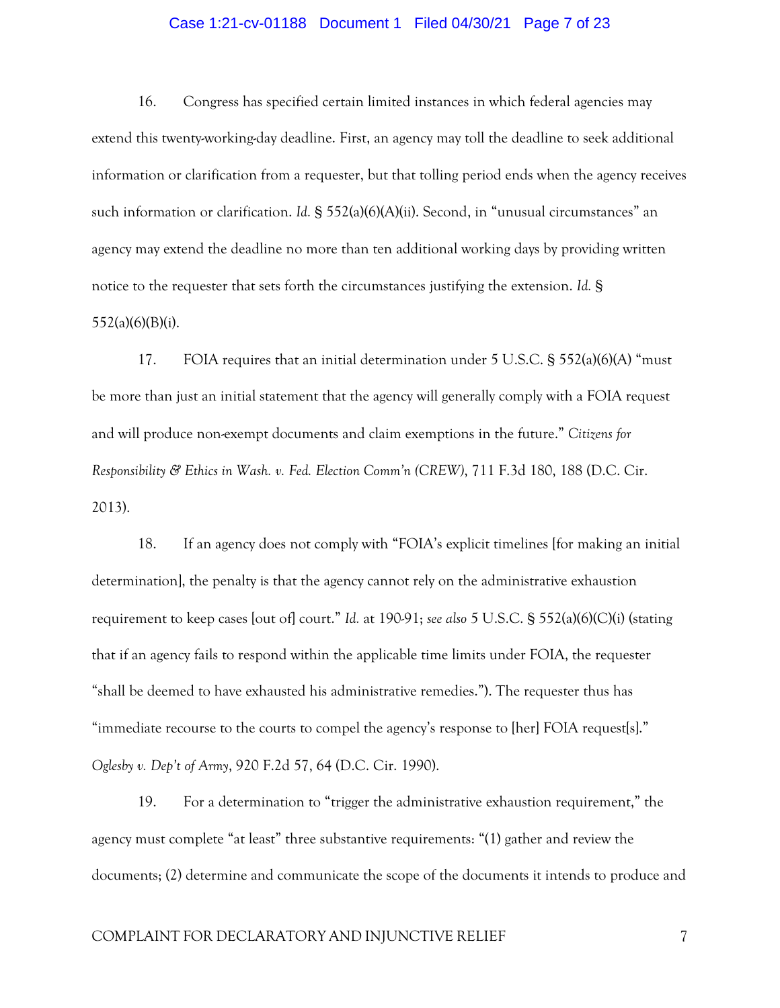# Case 1:21-cv-01188 Document 1 Filed 04/30/21 Page 7 of 23

16. Congress has specified certain limited instances in which federal agencies may extend this twenty-working-day deadline. First, an agency may toll the deadline to seek additional information or clarification from a requester, but that tolling period ends when the agency receives such information or clarification. *Id.* § 552(a)(6)(A)(ii). Second, in "unusual circumstances" an agency may extend the deadline no more than ten additional working days by providing written notice to the requester that sets forth the circumstances justifying the extension. *Id.* § 552(a)(6)(B)(i).

17. FOIA requires that an initial determination under 5 U.S.C. § 552(a)(6)(A) "must be more than just an initial statement that the agency will generally comply with a FOIA request and will produce non-exempt documents and claim exemptions in the future." *Citizens for Responsibility & Ethics in Wash. v. Fed. Election Comm'n (CREW)*, 711 F.3d 180, 188 (D.C. Cir. 2013).

18. If an agency does not comply with "FOIA's explicit timelines [for making an initial determination], the penalty is that the agency cannot rely on the administrative exhaustion requirement to keep cases [out of] court." *Id.* at 190-91; *see also* 5 U.S.C. § 552(a)(6)(C)(i) (stating that if an agency fails to respond within the applicable time limits under FOIA, the requester "shall be deemed to have exhausted his administrative remedies."). The requester thus has "immediate recourse to the courts to compel the agency's response to [her] FOIA request[s]." *Oglesby v. Dep't of Army*, 920 F.2d 57, 64 (D.C. Cir. 1990).

19. For a determination to "trigger the administrative exhaustion requirement," the agency must complete "at least" three substantive requirements: "(1) gather and review the documents; (2) determine and communicate the scope of the documents it intends to produce and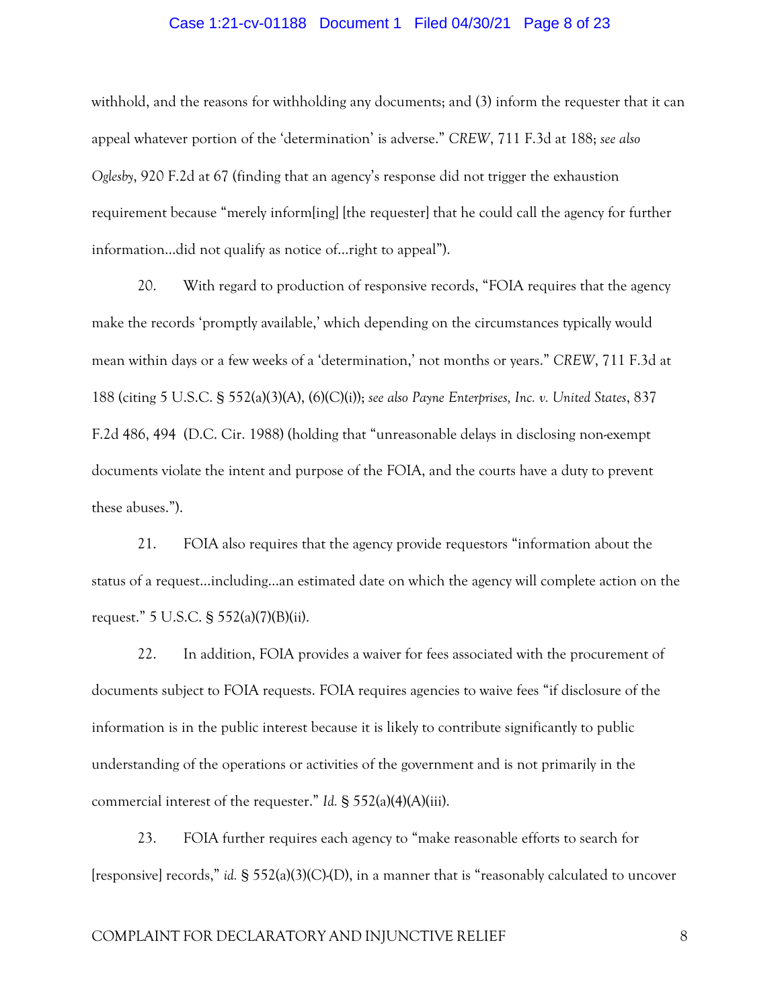## Case 1:21-cv-01188 Document 1 Filed 04/30/21 Page 8 of 23

withhold, and the reasons for withholding any documents; and (3) inform the requester that it can appeal whatever portion of the 'determination' is adverse." *CREW*, 711 F.3d at 188; *see also Oglesby*, 920 F.2d at 67 (finding that an agency's response did not trigger the exhaustion requirement because "merely inform[ing] [the requester] that he could call the agency for further information…did not qualify as notice of…right to appeal").

20. With regard to production of responsive records, "FOIA requires that the agency make the records 'promptly available,' which depending on the circumstances typically would mean within days or a few weeks of a 'determination,' not months or years." *CREW*, 711 F.3d at 188 (citing 5 U.S.C. § 552(a)(3)(A), (6)(C)(i)); *see also Payne Enterprises, Inc. v. United States*, 837 F.2d 486, 494 (D.C. Cir. 1988) (holding that "unreasonable delays in disclosing non-exempt documents violate the intent and purpose of the FOIA, and the courts have a duty to prevent these abuses.").

21. FOIA also requires that the agency provide requestors "information about the status of a request…including…an estimated date on which the agency will complete action on the request." 5 U.S.C. § 552(a)(7)(B)(ii).

22. In addition, FOIA provides a waiver for fees associated with the procurement of documents subject to FOIA requests. FOIA requires agencies to waive fees "if disclosure of the information is in the public interest because it is likely to contribute significantly to public understanding of the operations or activities of the government and is not primarily in the commercial interest of the requester." *Id.* § 552(a)(4)(A)(iii).

23. FOIA further requires each agency to "make reasonable efforts to search for [responsive] records," *id.* § 552(a)(3)(C)-(D), in a manner that is "reasonably calculated to uncover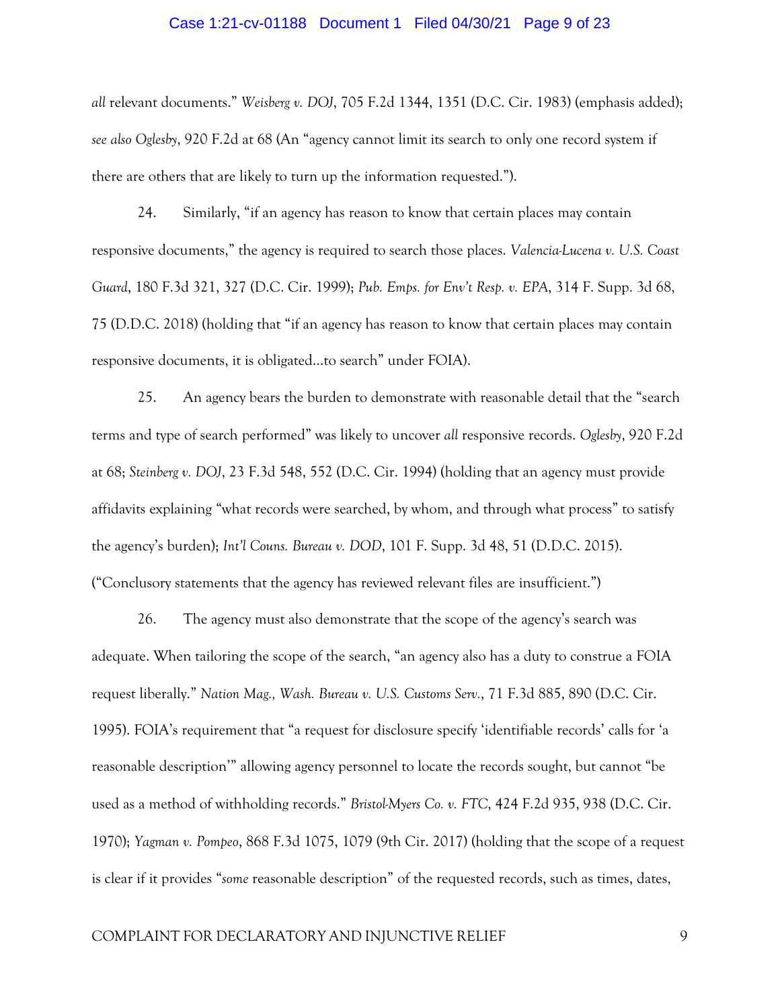#### Case 1:21-cv-01188 Document 1 Filed 04/30/21 Page 9 of 23

*all* relevant documents." *Weisberg v. DOJ*, 705 F.2d 1344, 1351 (D.C. Cir. 1983) (emphasis added); *see also Oglesby*, 920 F.2d at 68 (An "agency cannot limit its search to only one record system if there are others that are likely to turn up the information requested.").

24. Similarly, "if an agency has reason to know that certain places may contain responsive documents," the agency is required to search those places. *Valencia-Lucena v. U.S. Coast Guard*, 180 F.3d 321, 327 (D.C. Cir. 1999); *Pub. Emps. for Env't Resp. v. EPA*, 314 F. Supp. 3d 68, 75 (D.D.C. 2018) (holding that "if an agency has reason to know that certain places may contain responsive documents, it is obligated…to search" under FOIA).

25. An agency bears the burden to demonstrate with reasonable detail that the "search terms and type of search performed" was likely to uncover *all* responsive records. *Oglesby*, 920 F.2d at 68; *Steinberg v. DOJ*, 23 F.3d 548, 552 (D.C. Cir. 1994) (holding that an agency must provide affidavits explaining "what records were searched, by whom, and through what process" to satisfy the agency's burden); *Int'l Couns. Bureau v. DOD*, 101 F. Supp. 3d 48, 51 (D.D.C. 2015). ("Conclusory statements that the agency has reviewed relevant files are insufficient.")

26. The agency must also demonstrate that the scope of the agency's search was adequate. When tailoring the scope of the search, "an agency also has a duty to construe a FOIA request liberally." *Nation Mag., Wash. Bureau v. U.S. Customs Serv.*, 71 F.3d 885, 890 (D.C. Cir. 1995). FOIA's requirement that "a request for disclosure specify 'identifiable records' calls for 'a reasonable description'" allowing agency personnel to locate the records sought, but cannot "be used as a method of withholding records." *Bristol-Myers Co. v. FTC*, 424 F.2d 935, 938 (D.C. Cir. 1970); *Yagman v. Pompeo*, 868 F.3d 1075, 1079 (9th Cir. 2017) (holding that the scope of a request is clear if it provides "*some* reasonable description" of the requested records, such as times, dates,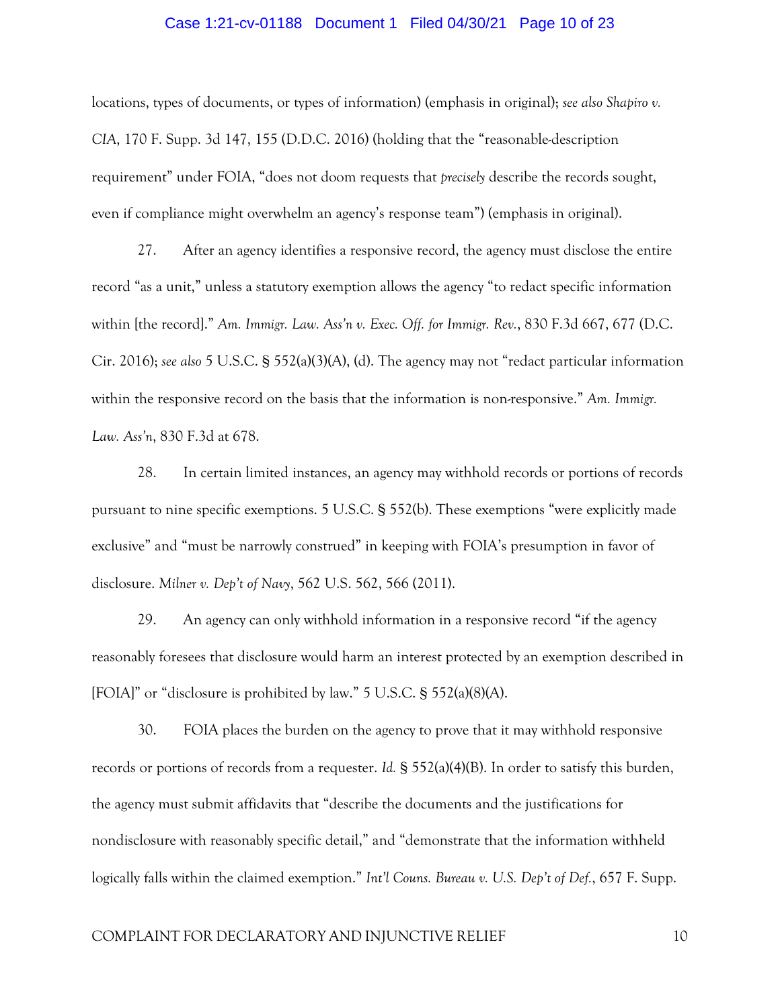## Case 1:21-cv-01188 Document 1 Filed 04/30/21 Page 10 of 23

locations, types of documents, or types of information) (emphasis in original); *see also Shapiro v. CIA*, 170 F. Supp. 3d 147, 155 (D.D.C. 2016) (holding that the "reasonable-description requirement" under FOIA, "does not doom requests that *precisely* describe the records sought, even if compliance might overwhelm an agency's response team") (emphasis in original).

27. After an agency identifies a responsive record, the agency must disclose the entire record "as a unit," unless a statutory exemption allows the agency "to redact specific information within [the record]." *Am. Immigr. Law. Ass'n v. Exec. Off. for Immigr. Rev.*, 830 F.3d 667, 677 (D.C. Cir. 2016); *see also* 5 U.S.C. § 552(a)(3)(A), (d). The agency may not "redact particular information within the responsive record on the basis that the information is non-responsive." *Am. Immigr. Law. Ass'n*, 830 F.3d at 678.

28. In certain limited instances, an agency may withhold records or portions of records pursuant to nine specific exemptions. 5 U.S.C. § 552(b). These exemptions "were explicitly made exclusive" and "must be narrowly construed" in keeping with FOIA's presumption in favor of disclosure. *Milner v. Dep't of Navy*, 562 U.S. 562, 566 (2011).

29. An agency can only withhold information in a responsive record "if the agency reasonably foresees that disclosure would harm an interest protected by an exemption described in [FOIA]" or "disclosure is prohibited by law." 5 U.S.C. § 552(a)(8)(A).

30. FOIA places the burden on the agency to prove that it may withhold responsive records or portions of records from a requester. *Id.* § 552(a)(4)(B). In order to satisfy this burden, the agency must submit affidavits that "describe the documents and the justifications for nondisclosure with reasonably specific detail," and "demonstrate that the information withheld logically falls within the claimed exemption." *Int'l Couns. Bureau v. U.S. Dep't of Def.*, 657 F. Supp.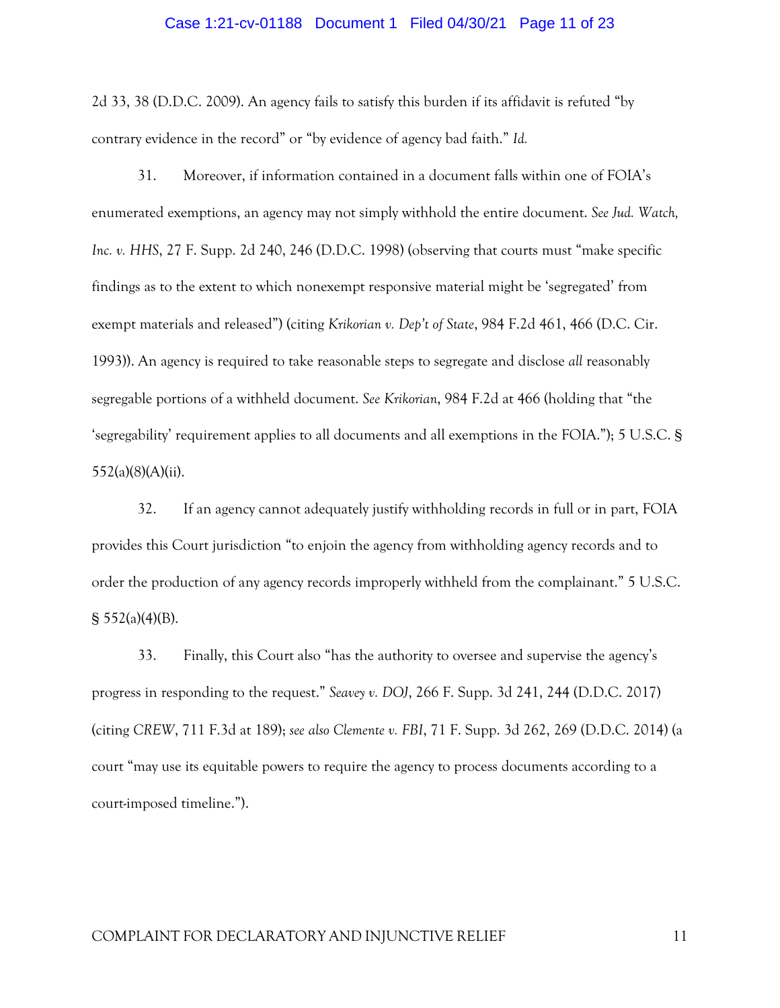## Case 1:21-cv-01188 Document 1 Filed 04/30/21 Page 11 of 23

2d 33, 38 (D.D.C. 2009). An agency fails to satisfy this burden if its affidavit is refuted "by contrary evidence in the record" or "by evidence of agency bad faith." *Id.* 

31. Moreover, if information contained in a document falls within one of FOIA's enumerated exemptions, an agency may not simply withhold the entire document. *See Jud. Watch, Inc. v. HHS*, 27 F. Supp. 2d 240, 246 (D.D.C. 1998) (observing that courts must "make specific findings as to the extent to which nonexempt responsive material might be 'segregated' from exempt materials and released") (citing *Krikorian v. Dep't of State*, 984 F.2d 461, 466 (D.C. Cir. 1993)). An agency is required to take reasonable steps to segregate and disclose *all* reasonably segregable portions of a withheld document. *See Krikorian*, 984 F.2d at 466 (holding that "the 'segregability' requirement applies to all documents and all exemptions in the FOIA."); 5 U.S.C. § 552(a)(8)(A)(ii).

32. If an agency cannot adequately justify withholding records in full or in part, FOIA provides this Court jurisdiction "to enjoin the agency from withholding agency records and to order the production of any agency records improperly withheld from the complainant." 5 U.S.C.  $\S$  552(a)(4)(B).

33. Finally, this Court also "has the authority to oversee and supervise the agency's progress in responding to the request." *Seavey v. DOJ*, 266 F. Supp. 3d 241, 244 (D.D.C. 2017) (citing *CREW*, 711 F.3d at 189); *see also Clemente v. FBI*, 71 F. Supp. 3d 262, 269 (D.D.C. 2014) (a court "may use its equitable powers to require the agency to process documents according to a court-imposed timeline.").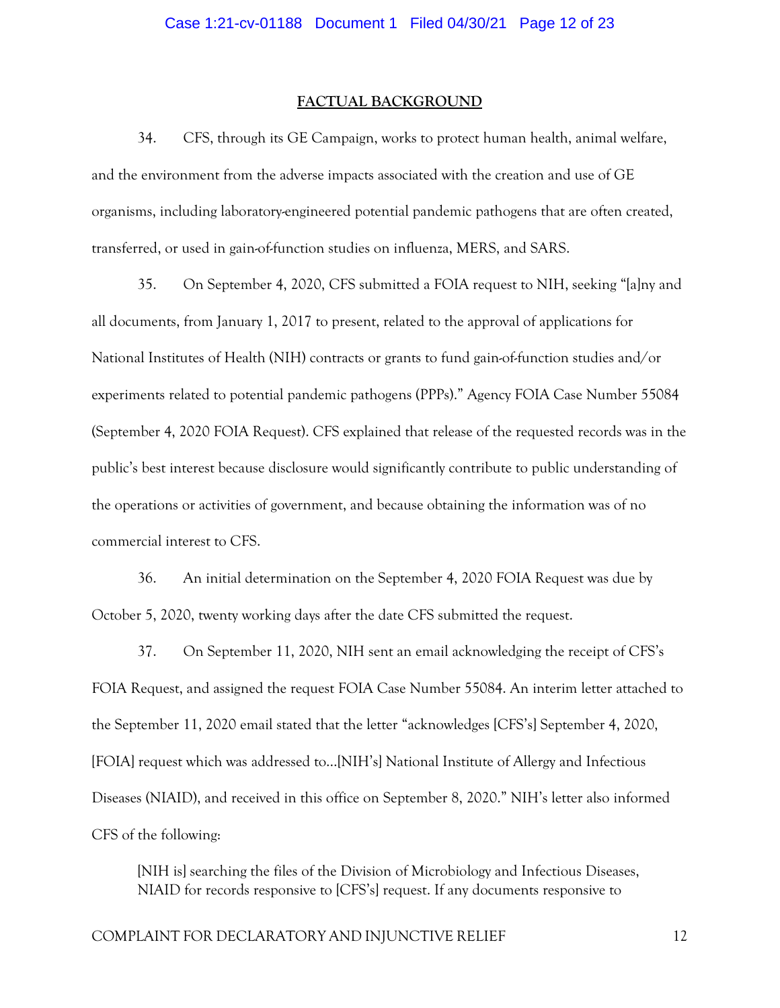#### **FACTUAL BACKGROUND**

34. CFS, through its GE Campaign, works to protect human health, animal welfare, and the environment from the adverse impacts associated with the creation and use of GE organisms, including laboratory-engineered potential pandemic pathogens that are often created, transferred, or used in gain-of-function studies on influenza, MERS, and SARS.

35. On September 4, 2020, CFS submitted a FOIA request to NIH, seeking "[a]ny and all documents, from January 1, 2017 to present, related to the approval of applications for National Institutes of Health (NIH) contracts or grants to fund gain-of-function studies and/or experiments related to potential pandemic pathogens (PPPs)." Agency FOIA Case Number 55084 (September 4, 2020 FOIA Request). CFS explained that release of the requested records was in the public's best interest because disclosure would significantly contribute to public understanding of the operations or activities of government, and because obtaining the information was of no commercial interest to CFS.

36. An initial determination on the September 4, 2020 FOIA Request was due by October 5, 2020, twenty working days after the date CFS submitted the request.

37. On September 11, 2020, NIH sent an email acknowledging the receipt of CFS's FOIA Request, and assigned the request FOIA Case Number 55084. An interim letter attached to the September 11, 2020 email stated that the letter "acknowledges [CFS's] September 4, 2020, [FOIA] request which was addressed to…[NIH's] National Institute of Allergy and Infectious Diseases (NIAID), and received in this office on September 8, 2020." NIH's letter also informed CFS of the following:

[NIH is] searching the files of the Division of Microbiology and Infectious Diseases, NIAID for records responsive to [CFS's] request. If any documents responsive to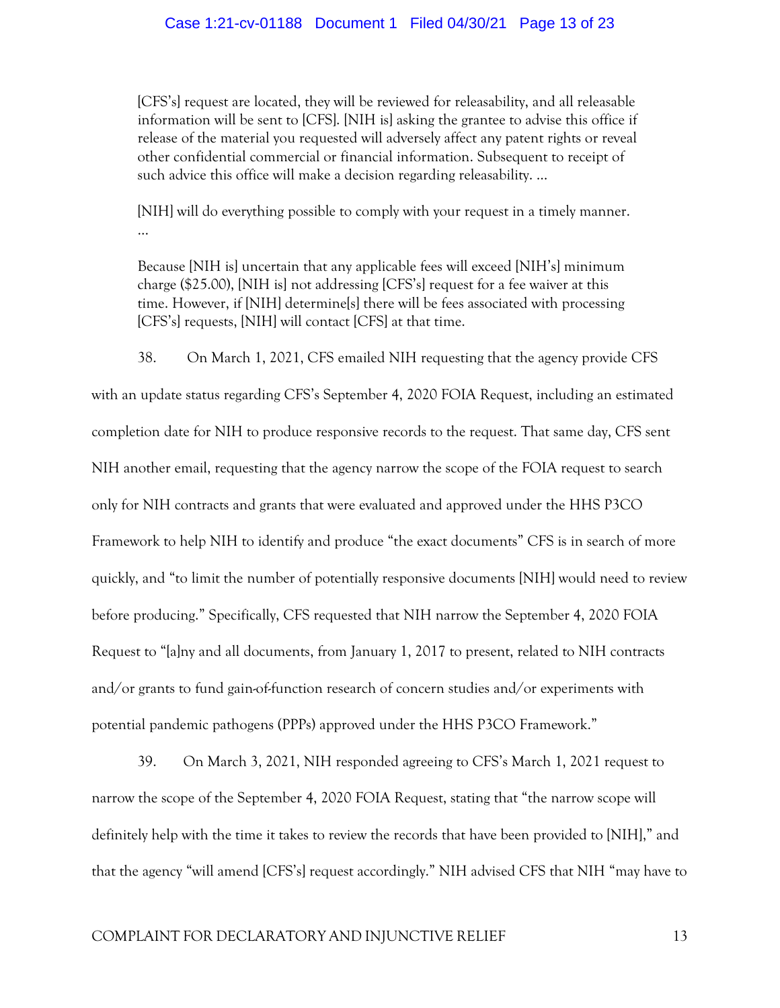#### Case 1:21-cv-01188 Document 1 Filed 04/30/21 Page 13 of 23

[CFS's] request are located, they will be reviewed for releasability, and all releasable information will be sent to [CFS]. [NIH is] asking the grantee to advise this office if release of the material you requested will adversely affect any patent rights or reveal other confidential commercial or financial information. Subsequent to receipt of such advice this office will make a decision regarding releasability. …

[NIH] will do everything possible to comply with your request in a timely manner. …

Because [NIH is] uncertain that any applicable fees will exceed [NIH's] minimum charge (\$25.00), [NIH is] not addressing [CFS's] request for a fee waiver at this time. However, if [NIH] determine[s] there will be fees associated with processing [CFS's] requests, [NIH] will contact [CFS] at that time.

38. On March 1, 2021, CFS emailed NIH requesting that the agency provide CFS with an update status regarding CFS's September 4, 2020 FOIA Request, including an estimated completion date for NIH to produce responsive records to the request. That same day, CFS sent NIH another email, requesting that the agency narrow the scope of the FOIA request to search only for NIH contracts and grants that were evaluated and approved under the HHS P3CO Framework to help NIH to identify and produce "the exact documents" CFS is in search of more quickly, and "to limit the number of potentially responsive documents [NIH] would need to review before producing." Specifically, CFS requested that NIH narrow the September 4, 2020 FOIA Request to "[a]ny and all documents, from January 1, 2017 to present, related to NIH contracts and/or grants to fund gain-of-function research of concern studies and/or experiments with potential pandemic pathogens (PPPs) approved under the HHS P3CO Framework."

39. On March 3, 2021, NIH responded agreeing to CFS's March 1, 2021 request to narrow the scope of the September 4, 2020 FOIA Request, stating that "the narrow scope will definitely help with the time it takes to review the records that have been provided to [NIH]," and that the agency "will amend [CFS's] request accordingly." NIH advised CFS that NIH "may have to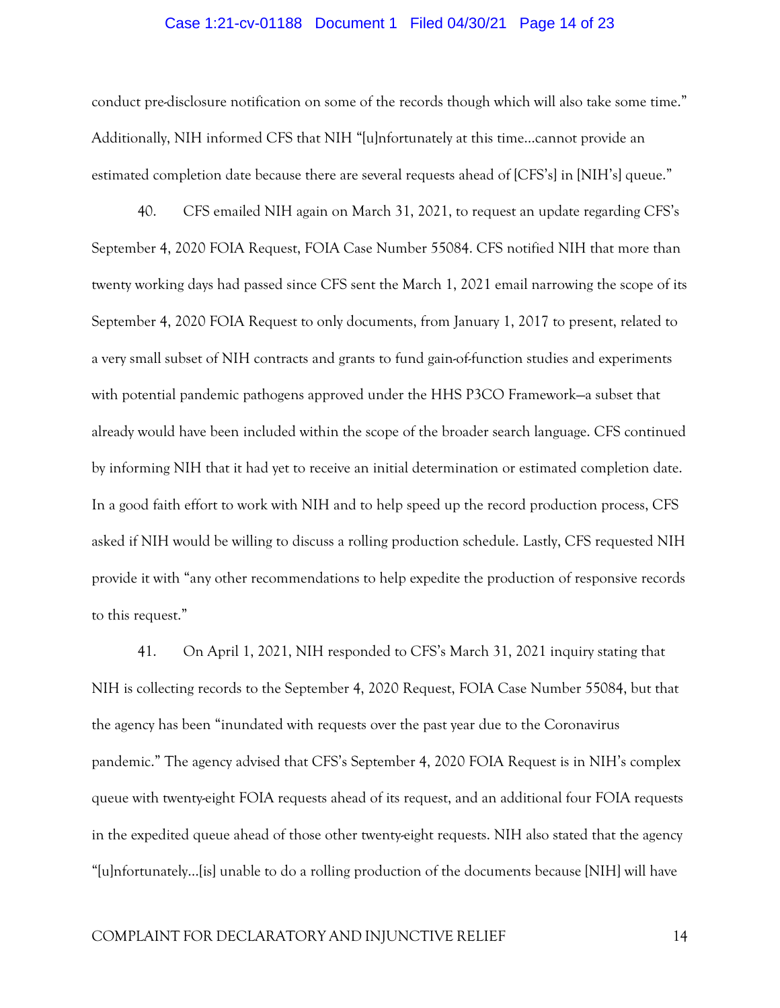#### Case 1:21-cv-01188 Document 1 Filed 04/30/21 Page 14 of 23

conduct pre-disclosure notification on some of the records though which will also take some time." Additionally, NIH informed CFS that NIH "[u]nfortunately at this time…cannot provide an estimated completion date because there are several requests ahead of [CFS's] in [NIH's] queue."

40. CFS emailed NIH again on March 31, 2021, to request an update regarding CFS's September 4, 2020 FOIA Request, FOIA Case Number 55084. CFS notified NIH that more than twenty working days had passed since CFS sent the March 1, 2021 email narrowing the scope of its September 4, 2020 FOIA Request to only documents, from January 1, 2017 to present, related to a very small subset of NIH contracts and grants to fund gain-of-function studies and experiments with potential pandemic pathogens approved under the HHS P3CO Framework—a subset that already would have been included within the scope of the broader search language. CFS continued by informing NIH that it had yet to receive an initial determination or estimated completion date. In a good faith effort to work with NIH and to help speed up the record production process, CFS asked if NIH would be willing to discuss a rolling production schedule. Lastly, CFS requested NIH provide it with "any other recommendations to help expedite the production of responsive records to this request."

41. On April 1, 2021, NIH responded to CFS's March 31, 2021 inquiry stating that NIH is collecting records to the September 4, 2020 Request, FOIA Case Number 55084, but that the agency has been "inundated with requests over the past year due to the Coronavirus pandemic." The agency advised that CFS's September 4, 2020 FOIA Request is in NIH's complex queue with twenty-eight FOIA requests ahead of its request, and an additional four FOIA requests in the expedited queue ahead of those other twenty-eight requests. NIH also stated that the agency "[u]nfortunately…[is] unable to do a rolling production of the documents because [NIH] will have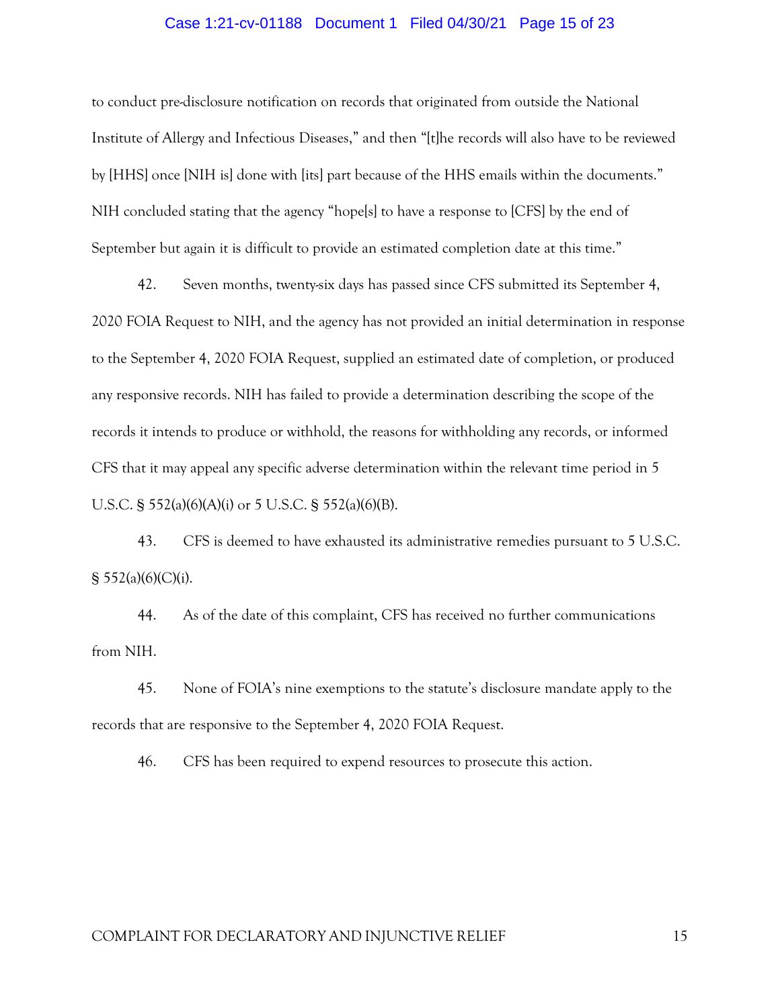## Case 1:21-cv-01188 Document 1 Filed 04/30/21 Page 15 of 23

to conduct pre-disclosure notification on records that originated from outside the National Institute of Allergy and Infectious Diseases," and then "[t]he records will also have to be reviewed by [HHS] once [NIH is] done with [its] part because of the HHS emails within the documents." NIH concluded stating that the agency "hope[s] to have a response to [CFS] by the end of September but again it is difficult to provide an estimated completion date at this time."

42. Seven months, twenty-six days has passed since CFS submitted its September 4, 2020 FOIA Request to NIH, and the agency has not provided an initial determination in response to the September 4, 2020 FOIA Request, supplied an estimated date of completion, or produced any responsive records. NIH has failed to provide a determination describing the scope of the records it intends to produce or withhold, the reasons for withholding any records, or informed CFS that it may appeal any specific adverse determination within the relevant time period in 5 U.S.C. § 552(a)(6)(A)(i) or 5 U.S.C. § 552(a)(6)(B).

43. CFS is deemed to have exhausted its administrative remedies pursuant to 5 U.S.C.  $§ 552(a)(6)(C)(i).$ 

44. As of the date of this complaint, CFS has received no further communications from NIH.

45. None of FOIA's nine exemptions to the statute's disclosure mandate apply to the records that are responsive to the September 4, 2020 FOIA Request.

46. CFS has been required to expend resources to prosecute this action.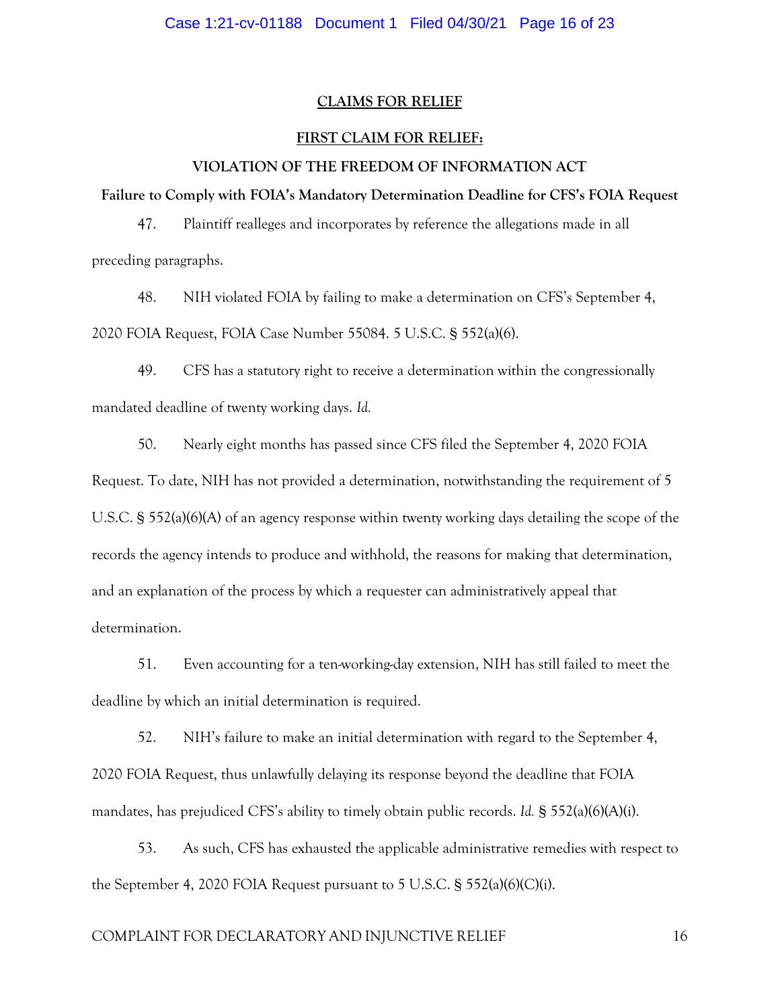#### **CLAIMS FOR RELIEF**

#### **FIRST CLAIM FOR RELIEF:**

### **VIOLATION OF THE FREEDOM OF INFORMATION ACT**

**Failure to Comply with FOIA's Mandatory Determination Deadline for CFS's FOIA Request**

47. Plaintiff realleges and incorporates by reference the allegations made in all preceding paragraphs.

48. NIH violated FOIA by failing to make a determination on CFS's September 4, 2020 FOIA Request, FOIA Case Number 55084. 5 U.S.C. § 552(a)(6).

49. CFS has a statutory right to receive a determination within the congressionally mandated deadline of twenty working days. *Id.*

50. Nearly eight months has passed since CFS filed the September 4, 2020 FOIA

Request. To date, NIH has not provided a determination, notwithstanding the requirement of 5 U.S.C. § 552(a)(6)(A) of an agency response within twenty working days detailing the scope of the records the agency intends to produce and withhold, the reasons for making that determination, and an explanation of the process by which a requester can administratively appeal that determination.

51. Even accounting for a ten-working-day extension, NIH has still failed to meet the deadline by which an initial determination is required.

52. NIH's failure to make an initial determination with regard to the September 4, 2020 FOIA Request, thus unlawfully delaying its response beyond the deadline that FOIA mandates, has prejudiced CFS's ability to timely obtain public records. *Id.* § 552(a)(6)(A)(i).

53. As such, CFS has exhausted the applicable administrative remedies with respect to the September 4, 2020 FOIA Request pursuant to 5 U.S.C. § 552(a)(6)(C)(i).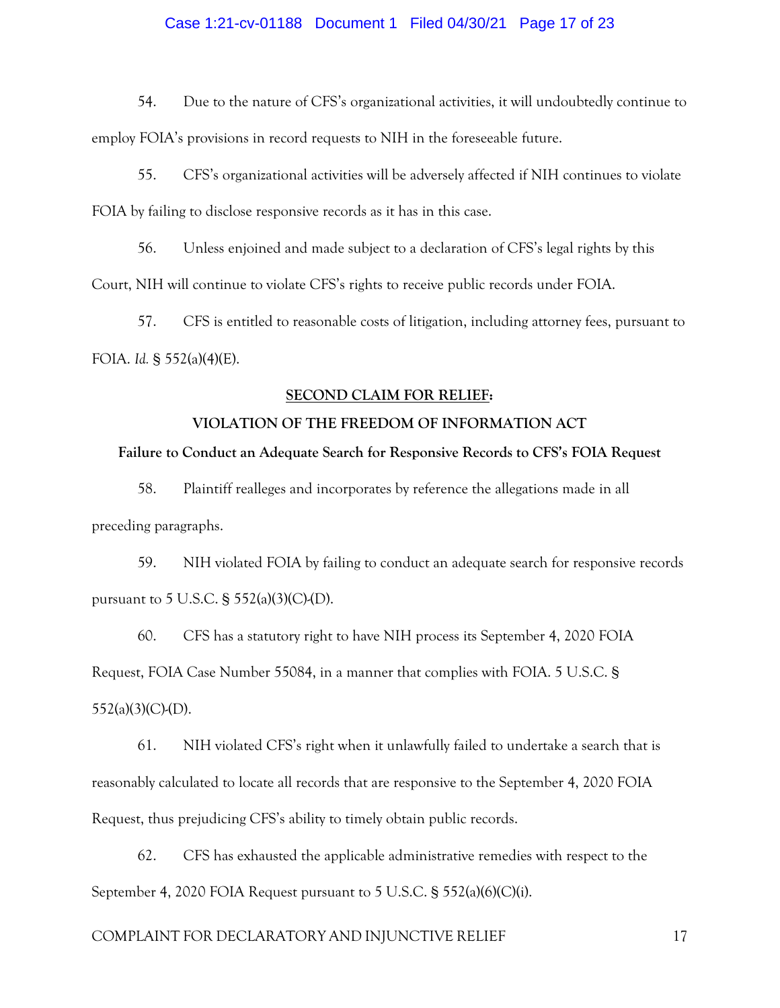# Case 1:21-cv-01188 Document 1 Filed 04/30/21 Page 17 of 23

54. Due to the nature of CFS's organizational activities, it will undoubtedly continue to employ FOIA's provisions in record requests to NIH in the foreseeable future.

55. CFS's organizational activities will be adversely affected if NIH continues to violate FOIA by failing to disclose responsive records as it has in this case.

56. Unless enjoined and made subject to a declaration of CFS's legal rights by this Court, NIH will continue to violate CFS's rights to receive public records under FOIA.

57. CFS is entitled to reasonable costs of litigation, including attorney fees, pursuant to FOIA. *Id.* § 552(a)(4)(E).

#### **SECOND CLAIM FOR RELIEF:**

# **VIOLATION OF THE FREEDOM OF INFORMATION ACT**

#### **Failure to Conduct an Adequate Search for Responsive Records to CFS's FOIA Request**

58. Plaintiff realleges and incorporates by reference the allegations made in all preceding paragraphs.

59. NIH violated FOIA by failing to conduct an adequate search for responsive records pursuant to 5 U.S.C.  $\S$  552(a)(3)(C)-(D).

60. CFS has a statutory right to have NIH process its September 4, 2020 FOIA Request, FOIA Case Number 55084, in a manner that complies with FOIA. 5 U.S.C. §  $552(a)(3)(C)$ -(D).

61. NIH violated CFS's right when it unlawfully failed to undertake a search that is reasonably calculated to locate all records that are responsive to the September 4, 2020 FOIA Request, thus prejudicing CFS's ability to timely obtain public records.

62. CFS has exhausted the applicable administrative remedies with respect to the September 4, 2020 FOIA Request pursuant to 5 U.S.C. § 552(a)(6)(C)(i).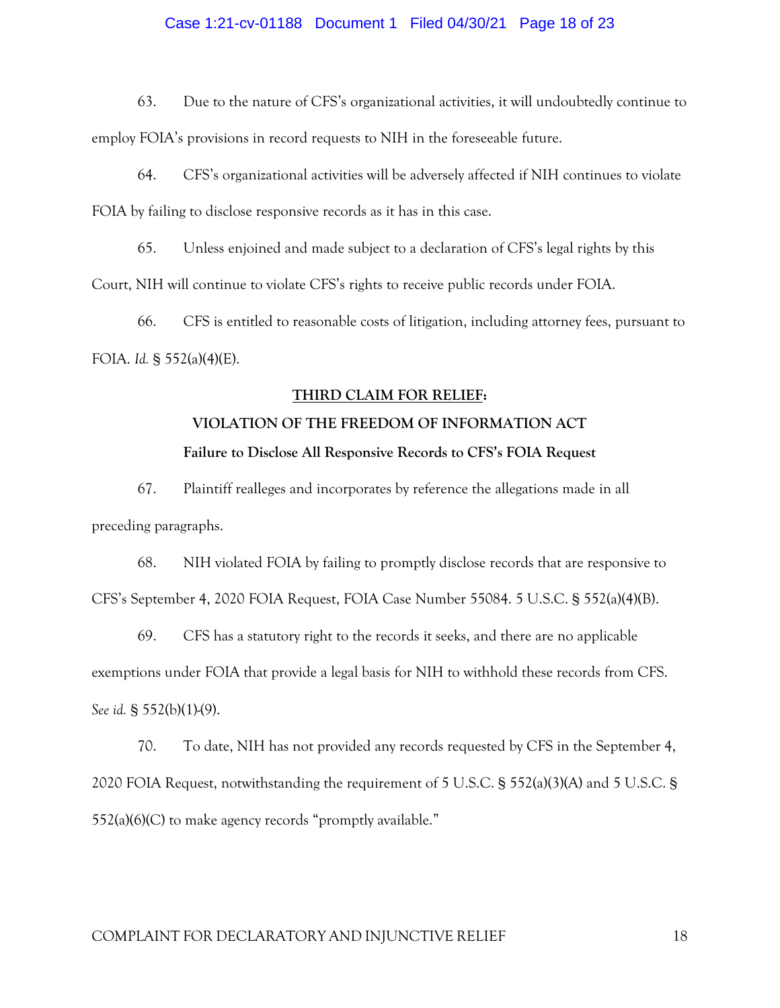# Case 1:21-cv-01188 Document 1 Filed 04/30/21 Page 18 of 23

63. Due to the nature of CFS's organizational activities, it will undoubtedly continue to employ FOIA's provisions in record requests to NIH in the foreseeable future.

64. CFS's organizational activities will be adversely affected if NIH continues to violate FOIA by failing to disclose responsive records as it has in this case.

65. Unless enjoined and made subject to a declaration of CFS's legal rights by this Court, NIH will continue to violate CFS's rights to receive public records under FOIA.

66. CFS is entitled to reasonable costs of litigation, including attorney fees, pursuant to FOIA. *Id.* § 552(a)(4)(E).

#### **THIRD CLAIM FOR RELIEF:**

# **VIOLATION OF THE FREEDOM OF INFORMATION ACT Failure to Disclose All Responsive Records to CFS's FOIA Request**

67. Plaintiff realleges and incorporates by reference the allegations made in all preceding paragraphs.

68. NIH violated FOIA by failing to promptly disclose records that are responsive to CFS's September 4, 2020 FOIA Request, FOIA Case Number 55084. 5 U.S.C. § 552(a)(4)(B).

69. CFS has a statutory right to the records it seeks, and there are no applicable exemptions under FOIA that provide a legal basis for NIH to withhold these records from CFS. *See id.* § 552(b)(1)-(9).

70. To date, NIH has not provided any records requested by CFS in the September 4, 2020 FOIA Request, notwithstanding the requirement of 5 U.S.C. § 552(a)(3)(A) and 5 U.S.C. § 552(a)(6)(C) to make agency records "promptly available."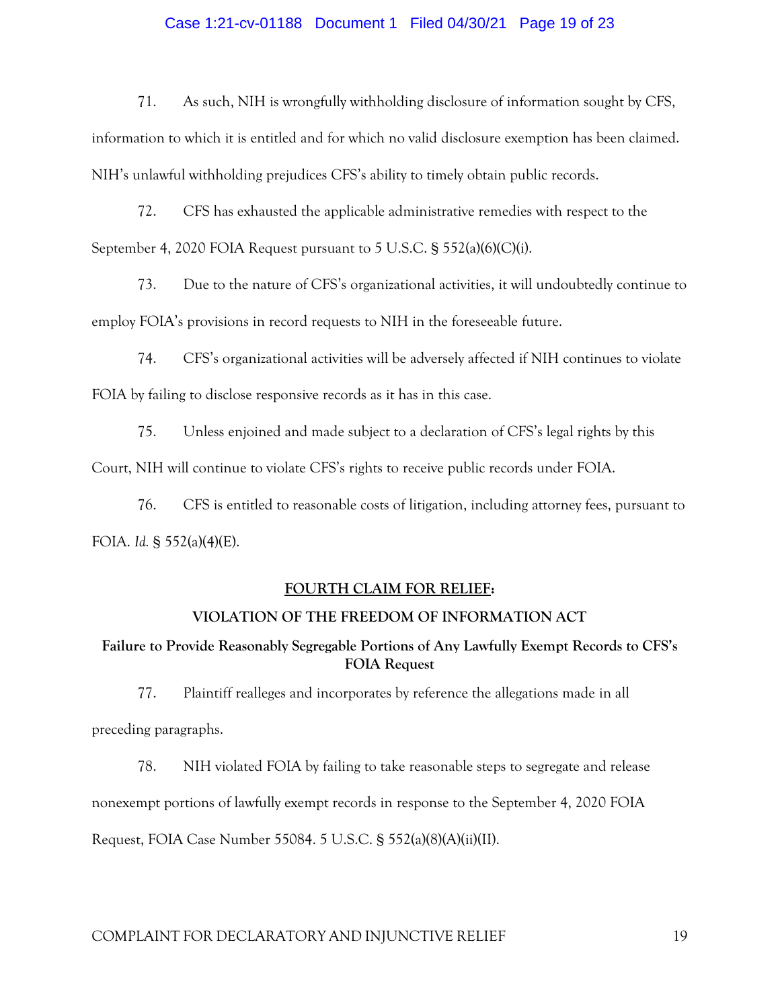# Case 1:21-cv-01188 Document 1 Filed 04/30/21 Page 19 of 23

71. As such, NIH is wrongfully withholding disclosure of information sought by CFS,

information to which it is entitled and for which no valid disclosure exemption has been claimed. NIH's unlawful withholding prejudices CFS's ability to timely obtain public records.

72. CFS has exhausted the applicable administrative remedies with respect to the September 4, 2020 FOIA Request pursuant to 5 U.S.C. § 552(a)(6)(C)(i).

73. Due to the nature of CFS's organizational activities, it will undoubtedly continue to employ FOIA's provisions in record requests to NIH in the foreseeable future.

74. CFS's organizational activities will be adversely affected if NIH continues to violate FOIA by failing to disclose responsive records as it has in this case.

75. Unless enjoined and made subject to a declaration of CFS's legal rights by this

Court, NIH will continue to violate CFS's rights to receive public records under FOIA.

76. CFS is entitled to reasonable costs of litigation, including attorney fees, pursuant to FOIA. *Id.* § 552(a)(4)(E).

#### **FOURTH CLAIM FOR RELIEF:**

# **VIOLATION OF THE FREEDOM OF INFORMATION ACT**

# **Failure to Provide Reasonably Segregable Portions of Any Lawfully Exempt Records to CFS's FOIA Request**

77. Plaintiff realleges and incorporates by reference the allegations made in all preceding paragraphs.

78. NIH violated FOIA by failing to take reasonable steps to segregate and release nonexempt portions of lawfully exempt records in response to the September 4, 2020 FOIA Request, FOIA Case Number 55084. 5 U.S.C. § 552(a)(8)(A)(ii)(II).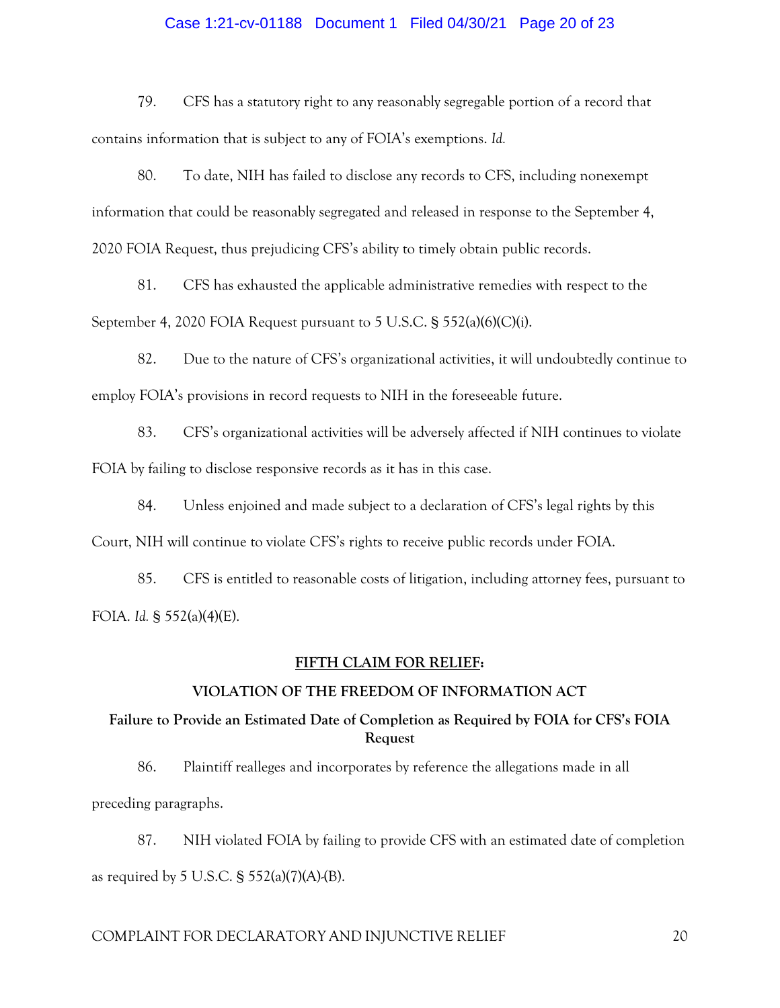# Case 1:21-cv-01188 Document 1 Filed 04/30/21 Page 20 of 23

79. CFS has a statutory right to any reasonably segregable portion of a record that contains information that is subject to any of FOIA's exemptions. *Id.* 

80. To date, NIH has failed to disclose any records to CFS, including nonexempt information that could be reasonably segregated and released in response to the September 4, 2020 FOIA Request, thus prejudicing CFS's ability to timely obtain public records.

81. CFS has exhausted the applicable administrative remedies with respect to the September 4, 2020 FOIA Request pursuant to 5 U.S.C. § 552(a)(6)(C)(i).

82. Due to the nature of CFS's organizational activities, it will undoubtedly continue to employ FOIA's provisions in record requests to NIH in the foreseeable future.

83. CFS's organizational activities will be adversely affected if NIH continues to violate FOIA by failing to disclose responsive records as it has in this case.

84. Unless enjoined and made subject to a declaration of CFS's legal rights by this Court, NIH will continue to violate CFS's rights to receive public records under FOIA.

85. CFS is entitled to reasonable costs of litigation, including attorney fees, pursuant to FOIA. *Id.* § 552(a)(4)(E).

# **FIFTH CLAIM FOR RELIEF:**

#### **VIOLATION OF THE FREEDOM OF INFORMATION ACT**

# **Failure to Provide an Estimated Date of Completion as Required by FOIA for CFS's FOIA Request**

86. Plaintiff realleges and incorporates by reference the allegations made in all preceding paragraphs.

87. NIH violated FOIA by failing to provide CFS with an estimated date of completion as required by 5 U.S.C.  $\S$  552(a)(7)(A)-(B).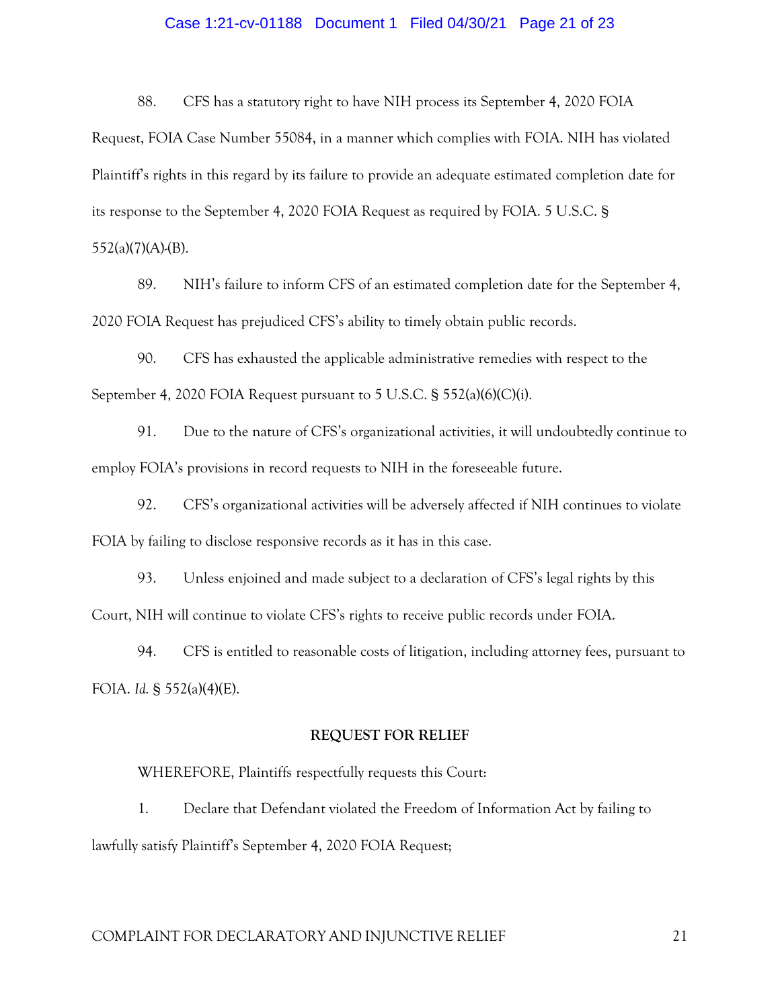# Case 1:21-cv-01188 Document 1 Filed 04/30/21 Page 21 of 23

88. CFS has a statutory right to have NIH process its September 4, 2020 FOIA

Request, FOIA Case Number 55084, in a manner which complies with FOIA. NIH has violated Plaintiff's rights in this regard by its failure to provide an adequate estimated completion date for its response to the September 4, 2020 FOIA Request as required by FOIA. 5 U.S.C. §

 $552(a)(7)(A)$ -(B).

89. NIH's failure to inform CFS of an estimated completion date for the September 4, 2020 FOIA Request has prejudiced CFS's ability to timely obtain public records.

90. CFS has exhausted the applicable administrative remedies with respect to the September 4, 2020 FOIA Request pursuant to 5 U.S.C. § 552(a)(6)(C)(i).

91. Due to the nature of CFS's organizational activities, it will undoubtedly continue to employ FOIA's provisions in record requests to NIH in the foreseeable future.

92. CFS's organizational activities will be adversely affected if NIH continues to violate FOIA by failing to disclose responsive records as it has in this case.

93. Unless enjoined and made subject to a declaration of CFS's legal rights by this Court, NIH will continue to violate CFS's rights to receive public records under FOIA.

94. CFS is entitled to reasonable costs of litigation, including attorney fees, pursuant to FOIA. *Id.* § 552(a)(4)(E).

# **REQUEST FOR RELIEF**

WHEREFORE, Plaintiffs respectfully requests this Court:

1. Declare that Defendant violated the Freedom of Information Act by failing to lawfully satisfy Plaintiff's September 4, 2020 FOIA Request;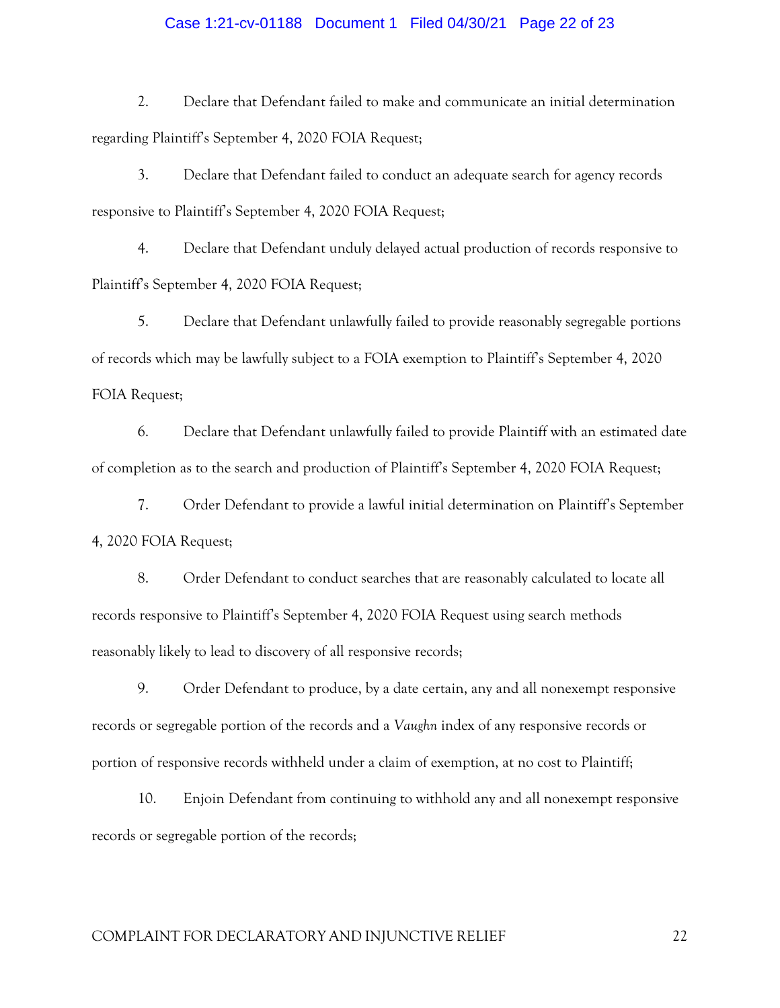# Case 1:21-cv-01188 Document 1 Filed 04/30/21 Page 22 of 23

2. Declare that Defendant failed to make and communicate an initial determination regarding Plaintiff's September 4, 2020 FOIA Request;

3. Declare that Defendant failed to conduct an adequate search for agency records responsive to Plaintiff's September 4, 2020 FOIA Request;

4. Declare that Defendant unduly delayed actual production of records responsive to Plaintiff's September 4, 2020 FOIA Request;

5. Declare that Defendant unlawfully failed to provide reasonably segregable portions of records which may be lawfully subject to a FOIA exemption to Plaintiff's September 4, 2020 FOIA Request;

6. Declare that Defendant unlawfully failed to provide Plaintiff with an estimated date of completion as to the search and production of Plaintiff's September 4, 2020 FOIA Request;

7. Order Defendant to provide a lawful initial determination on Plaintiff's September 4, 2020 FOIA Request;

8. Order Defendant to conduct searches that are reasonably calculated to locate all records responsive to Plaintiff's September 4, 2020 FOIA Request using search methods reasonably likely to lead to discovery of all responsive records;

9. Order Defendant to produce, by a date certain, any and all nonexempt responsive records or segregable portion of the records and a *Vaughn* index of any responsive records or portion of responsive records withheld under a claim of exemption, at no cost to Plaintiff;

10. Enjoin Defendant from continuing to withhold any and all nonexempt responsive records or segregable portion of the records;